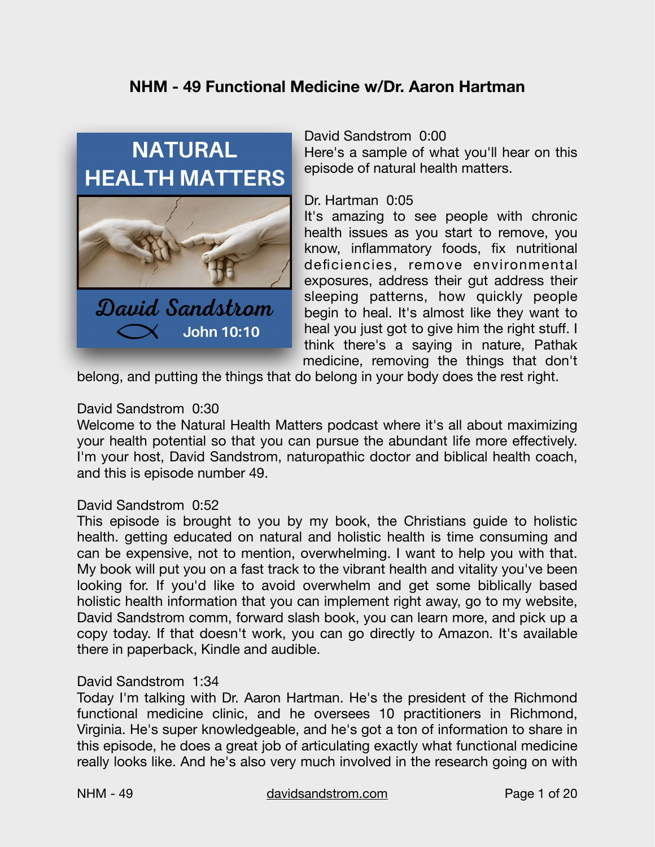# **NHM - 49 Functional Medicine w/Dr. Aaron Hartman**



#### David Sandstrom 0:00

Here's a sample of what you'll hear on this episode of natural health matters.

#### Dr. Hartman 0:05

It's amazing to see people with chronic health issues as you start to remove, you know, inflammatory foods, fix nutritional deficiencies, remove environmental exposures, address their gut address their sleeping patterns, how quickly people begin to heal. It's almost like they want to heal you just got to give him the right stuff. I think there's a saying in nature, Pathak medicine, removing the things that don't

belong, and putting the things that do belong in your body does the rest right.

#### David Sandstrom 0:30

Welcome to the Natural Health Matters podcast where it's all about maximizing your health potential so that you can pursue the abundant life more effectively. I'm your host, David Sandstrom, naturopathic doctor and biblical health coach, and this is episode number 49.

#### David Sandstrom 0:52

This episode is brought to you by my book, the Christians guide to holistic health. getting educated on natural and holistic health is time consuming and can be expensive, not to mention, overwhelming. I want to help you with that. My book will put you on a fast track to the vibrant health and vitality you've been looking for. If you'd like to avoid overwhelm and get some biblically based holistic health information that you can implement right away, go to my website, David Sandstrom comm, forward slash book, you can learn more, and pick up a copy today. If that doesn't work, you can go directly to Amazon. It's available there in paperback, Kindle and audible.

#### David Sandstrom 1:34

Today I'm talking with Dr. Aaron Hartman. He's the president of the Richmond functional medicine clinic, and he oversees 10 practitioners in Richmond, Virginia. He's super knowledgeable, and he's got a ton of information to share in this episode, he does a great job of articulating exactly what functional medicine really looks like. And he's also very much involved in the research going on with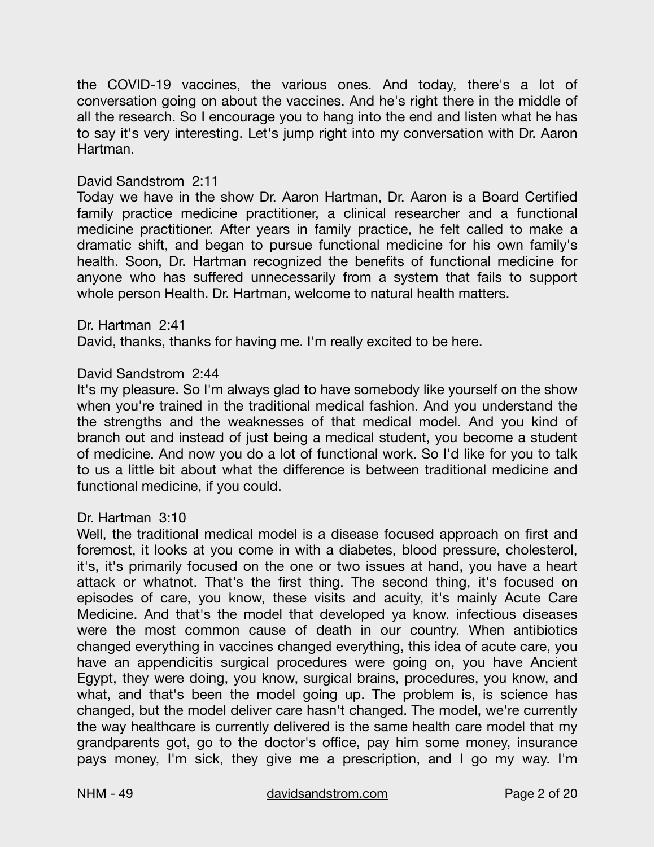the COVID-19 vaccines, the various ones. And today, there's a lot of conversation going on about the vaccines. And he's right there in the middle of all the research. So I encourage you to hang into the end and listen what he has to say it's very interesting. Let's jump right into my conversation with Dr. Aaron Hartman.

# David Sandstrom 2:11

Today we have in the show Dr. Aaron Hartman, Dr. Aaron is a Board Certified family practice medicine practitioner, a clinical researcher and a functional medicine practitioner. After years in family practice, he felt called to make a dramatic shift, and began to pursue functional medicine for his own family's health. Soon, Dr. Hartman recognized the benefits of functional medicine for anyone who has suffered unnecessarily from a system that fails to support whole person Health. Dr. Hartman, welcome to natural health matters.

#### Dr. Hartman 2:41

David, thanks, thanks for having me. I'm really excited to be here.

# David Sandstrom 2:44

It's my pleasure. So I'm always glad to have somebody like yourself on the show when you're trained in the traditional medical fashion. And you understand the the strengths and the weaknesses of that medical model. And you kind of branch out and instead of just being a medical student, you become a student of medicine. And now you do a lot of functional work. So I'd like for you to talk to us a little bit about what the difference is between traditional medicine and functional medicine, if you could.

# Dr. Hartman 3:10

Well, the traditional medical model is a disease focused approach on first and foremost, it looks at you come in with a diabetes, blood pressure, cholesterol, it's, it's primarily focused on the one or two issues at hand, you have a heart attack or whatnot. That's the first thing. The second thing, it's focused on episodes of care, you know, these visits and acuity, it's mainly Acute Care Medicine. And that's the model that developed ya know. infectious diseases were the most common cause of death in our country. When antibiotics changed everything in vaccines changed everything, this idea of acute care, you have an appendicitis surgical procedures were going on, you have Ancient Egypt, they were doing, you know, surgical brains, procedures, you know, and what, and that's been the model going up. The problem is, is science has changed, but the model deliver care hasn't changed. The model, we're currently the way healthcare is currently delivered is the same health care model that my grandparents got, go to the doctor's office, pay him some money, insurance pays money, I'm sick, they give me a prescription, and I go my way. I'm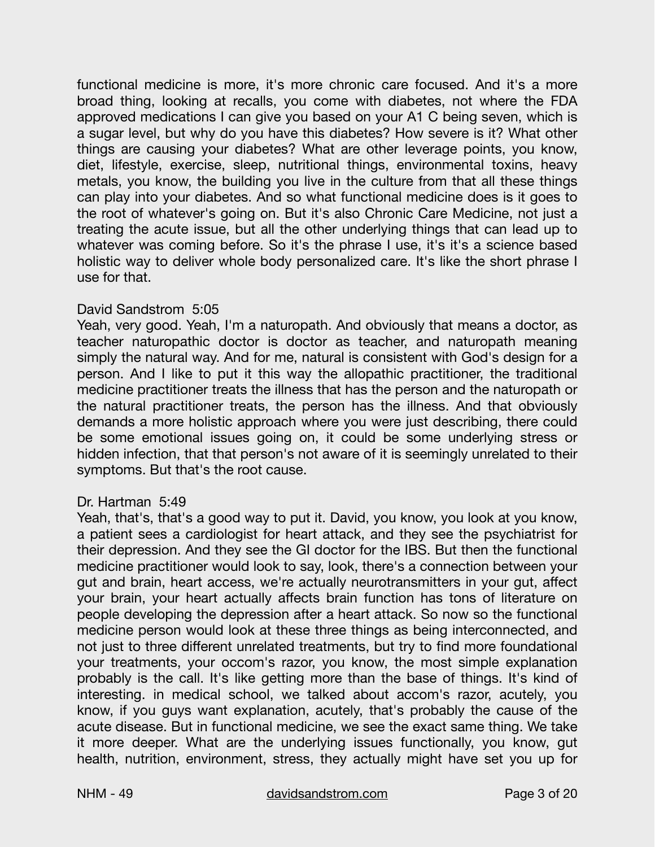functional medicine is more, it's more chronic care focused. And it's a more broad thing, looking at recalls, you come with diabetes, not where the FDA approved medications I can give you based on your A1 C being seven, which is a sugar level, but why do you have this diabetes? How severe is it? What other things are causing your diabetes? What are other leverage points, you know, diet, lifestyle, exercise, sleep, nutritional things, environmental toxins, heavy metals, you know, the building you live in the culture from that all these things can play into your diabetes. And so what functional medicine does is it goes to the root of whatever's going on. But it's also Chronic Care Medicine, not just a treating the acute issue, but all the other underlying things that can lead up to whatever was coming before. So it's the phrase I use, it's it's a science based holistic way to deliver whole body personalized care. It's like the short phrase I use for that.

# David Sandstrom 5:05

Yeah, very good. Yeah, I'm a naturopath. And obviously that means a doctor, as teacher naturopathic doctor is doctor as teacher, and naturopath meaning simply the natural way. And for me, natural is consistent with God's design for a person. And I like to put it this way the allopathic practitioner, the traditional medicine practitioner treats the illness that has the person and the naturopath or the natural practitioner treats, the person has the illness. And that obviously demands a more holistic approach where you were just describing, there could be some emotional issues going on, it could be some underlying stress or hidden infection, that that person's not aware of it is seemingly unrelated to their symptoms. But that's the root cause.

# Dr. Hartman 5:49

Yeah, that's, that's a good way to put it. David, you know, you look at you know, a patient sees a cardiologist for heart attack, and they see the psychiatrist for their depression. And they see the GI doctor for the IBS. But then the functional medicine practitioner would look to say, look, there's a connection between your gut and brain, heart access, we're actually neurotransmitters in your gut, affect your brain, your heart actually affects brain function has tons of literature on people developing the depression after a heart attack. So now so the functional medicine person would look at these three things as being interconnected, and not just to three different unrelated treatments, but try to find more foundational your treatments, your occom's razor, you know, the most simple explanation probably is the call. It's like getting more than the base of things. It's kind of interesting. in medical school, we talked about accom's razor, acutely, you know, if you guys want explanation, acutely, that's probably the cause of the acute disease. But in functional medicine, we see the exact same thing. We take it more deeper. What are the underlying issues functionally, you know, gut health, nutrition, environment, stress, they actually might have set you up for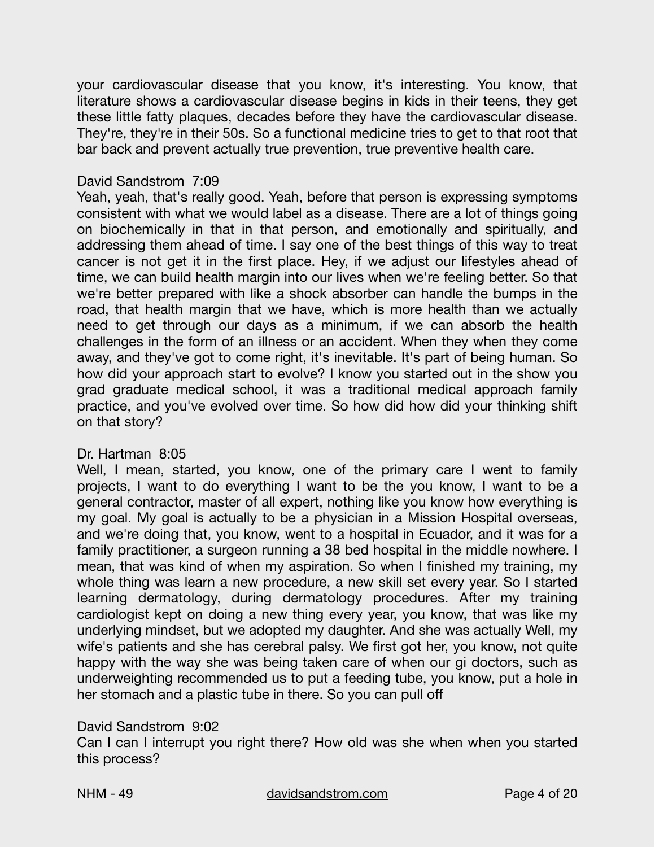your cardiovascular disease that you know, it's interesting. You know, that literature shows a cardiovascular disease begins in kids in their teens, they get these little fatty plaques, decades before they have the cardiovascular disease. They're, they're in their 50s. So a functional medicine tries to get to that root that bar back and prevent actually true prevention, true preventive health care.

# David Sandstrom 7:09

Yeah, yeah, that's really good. Yeah, before that person is expressing symptoms consistent with what we would label as a disease. There are a lot of things going on biochemically in that in that person, and emotionally and spiritually, and addressing them ahead of time. I say one of the best things of this way to treat cancer is not get it in the first place. Hey, if we adjust our lifestyles ahead of time, we can build health margin into our lives when we're feeling better. So that we're better prepared with like a shock absorber can handle the bumps in the road, that health margin that we have, which is more health than we actually need to get through our days as a minimum, if we can absorb the health challenges in the form of an illness or an accident. When they when they come away, and they've got to come right, it's inevitable. It's part of being human. So how did your approach start to evolve? I know you started out in the show you grad graduate medical school, it was a traditional medical approach family practice, and you've evolved over time. So how did how did your thinking shift on that story?

# Dr. Hartman 8:05

Well, I mean, started, you know, one of the primary care I went to family projects, I want to do everything I want to be the you know, I want to be a general contractor, master of all expert, nothing like you know how everything is my goal. My goal is actually to be a physician in a Mission Hospital overseas, and we're doing that, you know, went to a hospital in Ecuador, and it was for a family practitioner, a surgeon running a 38 bed hospital in the middle nowhere. I mean, that was kind of when my aspiration. So when I finished my training, my whole thing was learn a new procedure, a new skill set every year. So I started learning dermatology, during dermatology procedures. After my training cardiologist kept on doing a new thing every year, you know, that was like my underlying mindset, but we adopted my daughter. And she was actually Well, my wife's patients and she has cerebral palsy. We first got her, you know, not quite happy with the way she was being taken care of when our gi doctors, such as underweighting recommended us to put a feeding tube, you know, put a hole in her stomach and a plastic tube in there. So you can pull off

# David Sandstrom 9:02

Can I can I interrupt you right there? How old was she when when you started this process?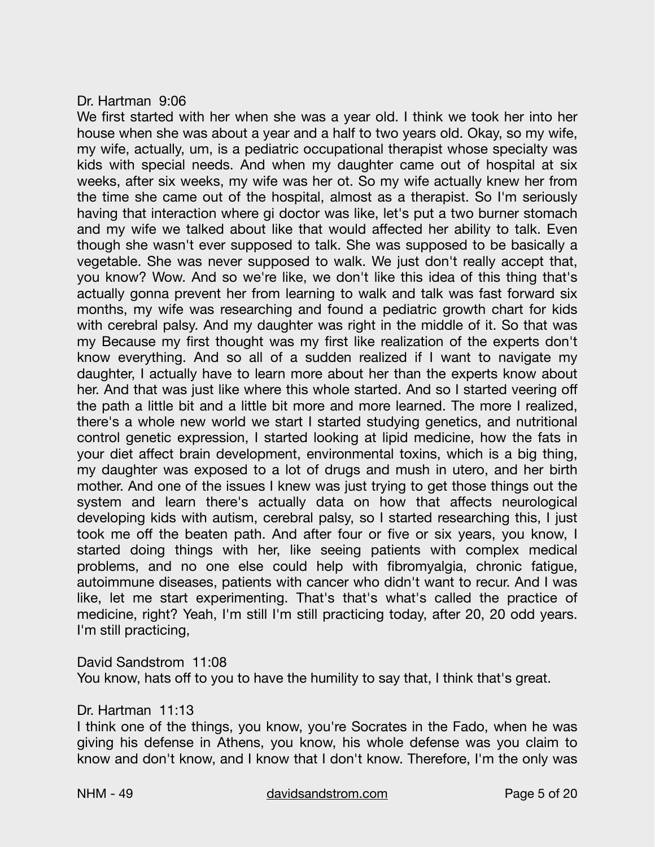#### Dr. Hartman 9:06

We first started with her when she was a year old. I think we took her into her house when she was about a year and a half to two years old. Okay, so my wife, my wife, actually, um, is a pediatric occupational therapist whose specialty was kids with special needs. And when my daughter came out of hospital at six weeks, after six weeks, my wife was her ot. So my wife actually knew her from the time she came out of the hospital, almost as a therapist. So I'm seriously having that interaction where gi doctor was like, let's put a two burner stomach and my wife we talked about like that would affected her ability to talk. Even though she wasn't ever supposed to talk. She was supposed to be basically a vegetable. She was never supposed to walk. We just don't really accept that, you know? Wow. And so we're like, we don't like this idea of this thing that's actually gonna prevent her from learning to walk and talk was fast forward six months, my wife was researching and found a pediatric growth chart for kids with cerebral palsy. And my daughter was right in the middle of it. So that was my Because my first thought was my first like realization of the experts don't know everything. And so all of a sudden realized if I want to navigate my daughter, I actually have to learn more about her than the experts know about her. And that was just like where this whole started. And so I started veering off the path a little bit and a little bit more and more learned. The more I realized, there's a whole new world we start I started studying genetics, and nutritional control genetic expression, I started looking at lipid medicine, how the fats in your diet affect brain development, environmental toxins, which is a big thing, my daughter was exposed to a lot of drugs and mush in utero, and her birth mother. And one of the issues I knew was just trying to get those things out the system and learn there's actually data on how that affects neurological developing kids with autism, cerebral palsy, so I started researching this, I just took me off the beaten path. And after four or five or six years, you know, I started doing things with her, like seeing patients with complex medical problems, and no one else could help with fibromyalgia, chronic fatigue, autoimmune diseases, patients with cancer who didn't want to recur. And I was like, let me start experimenting. That's that's what's called the practice of medicine, right? Yeah, I'm still I'm still practicing today, after 20, 20 odd years. I'm still practicing,

David Sandstrom 11:08

You know, hats off to you to have the humility to say that, I think that's great.

Dr. Hartman 11:13

I think one of the things, you know, you're Socrates in the Fado, when he was giving his defense in Athens, you know, his whole defense was you claim to know and don't know, and I know that I don't know. Therefore, I'm the only was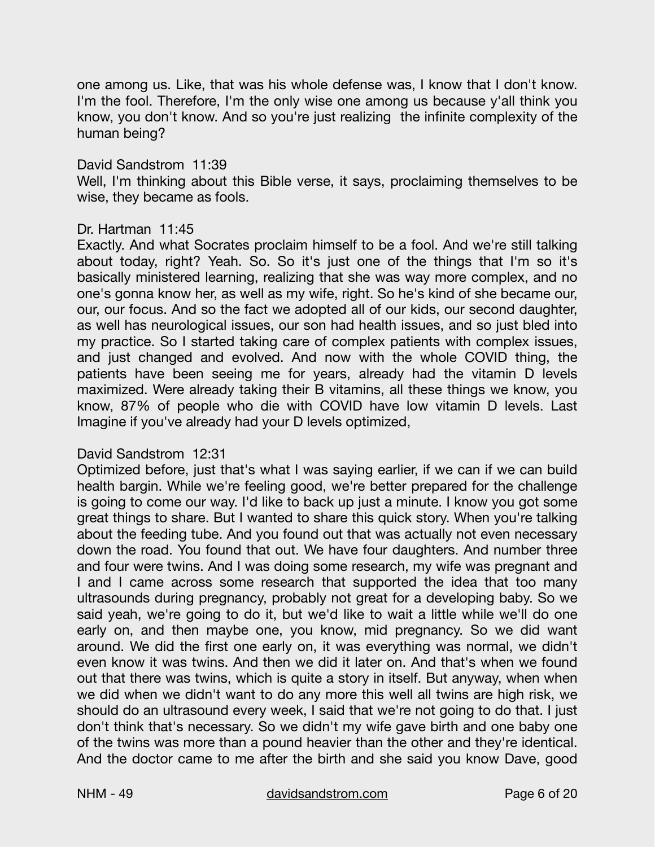one among us. Like, that was his whole defense was, I know that I don't know. I'm the fool. Therefore, I'm the only wise one among us because y'all think you know, you don't know. And so you're just realizing the infinite complexity of the human being?

# David Sandstrom 11:39

Well, I'm thinking about this Bible verse, it says, proclaiming themselves to be wise, they became as fools.

#### Dr. Hartman 11:45

Exactly. And what Socrates proclaim himself to be a fool. And we're still talking about today, right? Yeah. So. So it's just one of the things that I'm so it's basically ministered learning, realizing that she was way more complex, and no one's gonna know her, as well as my wife, right. So he's kind of she became our, our, our focus. And so the fact we adopted all of our kids, our second daughter, as well has neurological issues, our son had health issues, and so just bled into my practice. So I started taking care of complex patients with complex issues, and just changed and evolved. And now with the whole COVID thing, the patients have been seeing me for years, already had the vitamin D levels maximized. Were already taking their B vitamins, all these things we know, you know, 87% of people who die with COVID have low vitamin D levels. Last Imagine if you've already had your D levels optimized,

#### David Sandstrom 12:31

Optimized before, just that's what I was saying earlier, if we can if we can build health bargin. While we're feeling good, we're better prepared for the challenge is going to come our way. I'd like to back up just a minute. I know you got some great things to share. But I wanted to share this quick story. When you're talking about the feeding tube. And you found out that was actually not even necessary down the road. You found that out. We have four daughters. And number three and four were twins. And I was doing some research, my wife was pregnant and I and I came across some research that supported the idea that too many ultrasounds during pregnancy, probably not great for a developing baby. So we said yeah, we're going to do it, but we'd like to wait a little while we'll do one early on, and then maybe one, you know, mid pregnancy. So we did want around. We did the first one early on, it was everything was normal, we didn't even know it was twins. And then we did it later on. And that's when we found out that there was twins, which is quite a story in itself. But anyway, when when we did when we didn't want to do any more this well all twins are high risk, we should do an ultrasound every week, I said that we're not going to do that. I just don't think that's necessary. So we didn't my wife gave birth and one baby one of the twins was more than a pound heavier than the other and they're identical. And the doctor came to me after the birth and she said you know Dave, good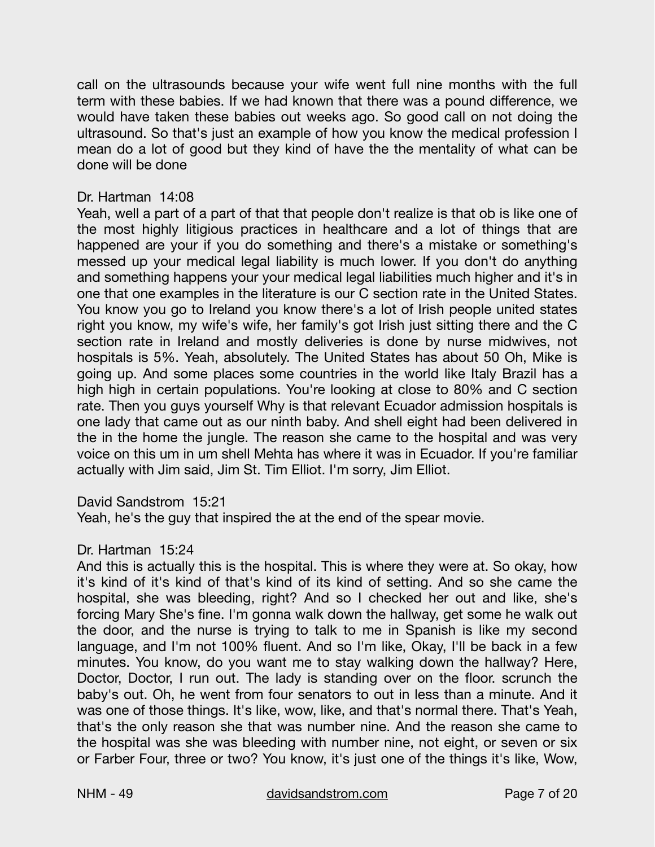call on the ultrasounds because your wife went full nine months with the full term with these babies. If we had known that there was a pound difference, we would have taken these babies out weeks ago. So good call on not doing the ultrasound. So that's just an example of how you know the medical profession I mean do a lot of good but they kind of have the the mentality of what can be done will be done

# Dr. Hartman 14:08

Yeah, well a part of a part of that that people don't realize is that ob is like one of the most highly litigious practices in healthcare and a lot of things that are happened are your if you do something and there's a mistake or something's messed up your medical legal liability is much lower. If you don't do anything and something happens your your medical legal liabilities much higher and it's in one that one examples in the literature is our C section rate in the United States. You know you go to Ireland you know there's a lot of Irish people united states right you know, my wife's wife, her family's got Irish just sitting there and the C section rate in Ireland and mostly deliveries is done by nurse midwives, not hospitals is 5%. Yeah, absolutely. The United States has about 50 Oh, Mike is going up. And some places some countries in the world like Italy Brazil has a high high in certain populations. You're looking at close to 80% and C section rate. Then you guys yourself Why is that relevant Ecuador admission hospitals is one lady that came out as our ninth baby. And shell eight had been delivered in the in the home the jungle. The reason she came to the hospital and was very voice on this um in um shell Mehta has where it was in Ecuador. If you're familiar actually with Jim said, Jim St. Tim Elliot. I'm sorry, Jim Elliot.

David Sandstrom 15:21

Yeah, he's the guy that inspired the at the end of the spear movie.

# Dr. Hartman 15:24

And this is actually this is the hospital. This is where they were at. So okay, how it's kind of it's kind of that's kind of its kind of setting. And so she came the hospital, she was bleeding, right? And so I checked her out and like, she's forcing Mary She's fine. I'm gonna walk down the hallway, get some he walk out the door, and the nurse is trying to talk to me in Spanish is like my second language, and I'm not 100% fluent. And so I'm like, Okay, I'll be back in a few minutes. You know, do you want me to stay walking down the hallway? Here, Doctor, Doctor, I run out. The lady is standing over on the floor. scrunch the baby's out. Oh, he went from four senators to out in less than a minute. And it was one of those things. It's like, wow, like, and that's normal there. That's Yeah, that's the only reason she that was number nine. And the reason she came to the hospital was she was bleeding with number nine, not eight, or seven or six or Farber Four, three or two? You know, it's just one of the things it's like, Wow,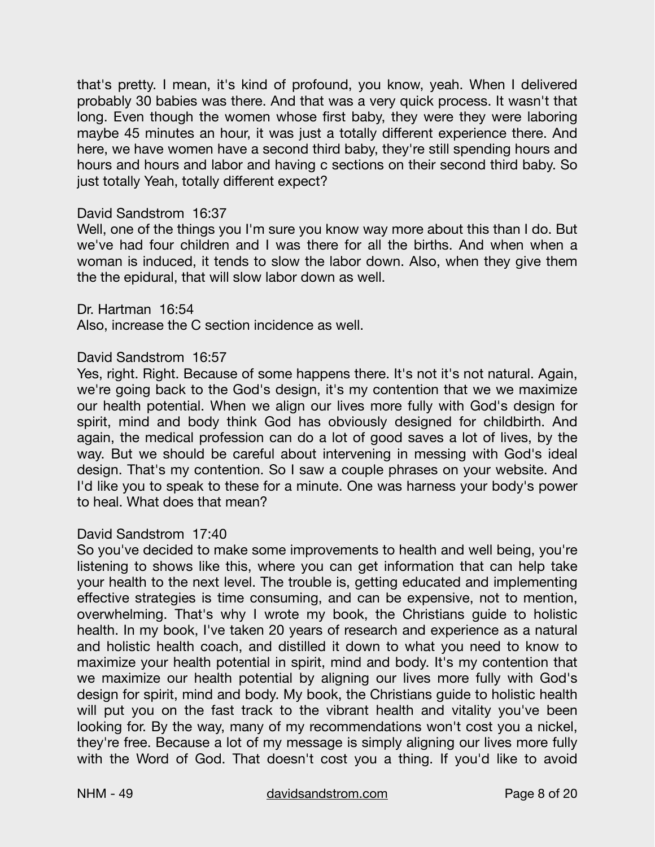that's pretty. I mean, it's kind of profound, you know, yeah. When I delivered probably 30 babies was there. And that was a very quick process. It wasn't that long. Even though the women whose first baby, they were they were laboring maybe 45 minutes an hour, it was just a totally different experience there. And here, we have women have a second third baby, they're still spending hours and hours and hours and labor and having c sections on their second third baby. So just totally Yeah, totally different expect?

#### David Sandstrom 16:37

Well, one of the things you I'm sure you know way more about this than I do. But we've had four children and I was there for all the births. And when when a woman is induced, it tends to slow the labor down. Also, when they give them the the epidural, that will slow labor down as well.

#### Dr. Hartman 16:54

Also, increase the C section incidence as well.

#### David Sandstrom 16:57

Yes, right. Right. Because of some happens there. It's not it's not natural. Again, we're going back to the God's design, it's my contention that we we maximize our health potential. When we align our lives more fully with God's design for spirit, mind and body think God has obviously designed for childbirth. And again, the medical profession can do a lot of good saves a lot of lives, by the way. But we should be careful about intervening in messing with God's ideal design. That's my contention. So I saw a couple phrases on your website. And I'd like you to speak to these for a minute. One was harness your body's power to heal. What does that mean?

#### David Sandstrom 17:40

So you've decided to make some improvements to health and well being, you're listening to shows like this, where you can get information that can help take your health to the next level. The trouble is, getting educated and implementing effective strategies is time consuming, and can be expensive, not to mention, overwhelming. That's why I wrote my book, the Christians guide to holistic health. In my book, I've taken 20 years of research and experience as a natural and holistic health coach, and distilled it down to what you need to know to maximize your health potential in spirit, mind and body. It's my contention that we maximize our health potential by aligning our lives more fully with God's design for spirit, mind and body. My book, the Christians guide to holistic health will put you on the fast track to the vibrant health and vitality you've been looking for. By the way, many of my recommendations won't cost you a nickel, they're free. Because a lot of my message is simply aligning our lives more fully with the Word of God. That doesn't cost you a thing. If you'd like to avoid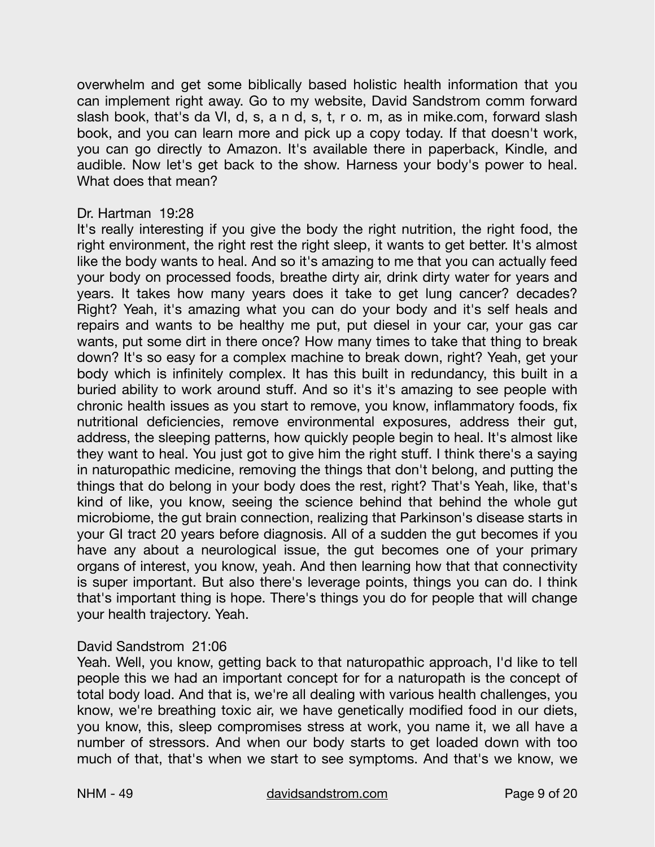overwhelm and get some biblically based holistic health information that you can implement right away. Go to my website, David Sandstrom comm forward slash book, that's da VI, d, s, a n d, s, t, r o. m, as in mike.com, forward slash book, and you can learn more and pick up a copy today. If that doesn't work, you can go directly to Amazon. It's available there in paperback, Kindle, and audible. Now let's get back to the show. Harness your body's power to heal. What does that mean?

# Dr. Hartman 19:28

It's really interesting if you give the body the right nutrition, the right food, the right environment, the right rest the right sleep, it wants to get better. It's almost like the body wants to heal. And so it's amazing to me that you can actually feed your body on processed foods, breathe dirty air, drink dirty water for years and years. It takes how many years does it take to get lung cancer? decades? Right? Yeah, it's amazing what you can do your body and it's self heals and repairs and wants to be healthy me put, put diesel in your car, your gas car wants, put some dirt in there once? How many times to take that thing to break down? It's so easy for a complex machine to break down, right? Yeah, get your body which is infinitely complex. It has this built in redundancy, this built in a buried ability to work around stuff. And so it's it's amazing to see people with chronic health issues as you start to remove, you know, inflammatory foods, fix nutritional deficiencies, remove environmental exposures, address their gut, address, the sleeping patterns, how quickly people begin to heal. It's almost like they want to heal. You just got to give him the right stuff. I think there's a saying in naturopathic medicine, removing the things that don't belong, and putting the things that do belong in your body does the rest, right? That's Yeah, like, that's kind of like, you know, seeing the science behind that behind the whole gut microbiome, the gut brain connection, realizing that Parkinson's disease starts in your GI tract 20 years before diagnosis. All of a sudden the gut becomes if you have any about a neurological issue, the gut becomes one of your primary organs of interest, you know, yeah. And then learning how that that connectivity is super important. But also there's leverage points, things you can do. I think that's important thing is hope. There's things you do for people that will change your health trajectory. Yeah.

#### David Sandstrom 21:06

Yeah. Well, you know, getting back to that naturopathic approach, I'd like to tell people this we had an important concept for for a naturopath is the concept of total body load. And that is, we're all dealing with various health challenges, you know, we're breathing toxic air, we have genetically modified food in our diets, you know, this, sleep compromises stress at work, you name it, we all have a number of stressors. And when our body starts to get loaded down with too much of that, that's when we start to see symptoms. And that's we know, we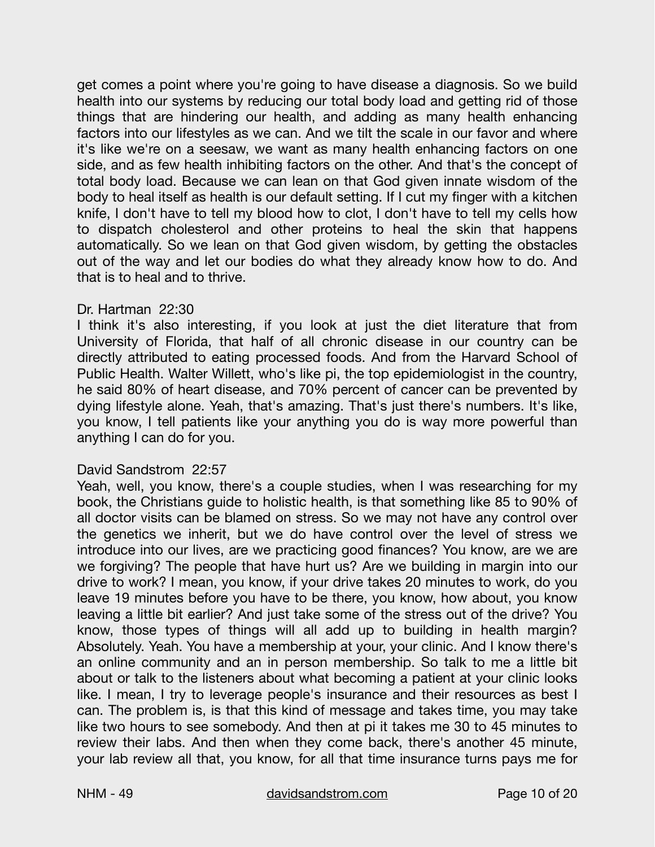get comes a point where you're going to have disease a diagnosis. So we build health into our systems by reducing our total body load and getting rid of those things that are hindering our health, and adding as many health enhancing factors into our lifestyles as we can. And we tilt the scale in our favor and where it's like we're on a seesaw, we want as many health enhancing factors on one side, and as few health inhibiting factors on the other. And that's the concept of total body load. Because we can lean on that God given innate wisdom of the body to heal itself as health is our default setting. If I cut my finger with a kitchen knife, I don't have to tell my blood how to clot, I don't have to tell my cells how to dispatch cholesterol and other proteins to heal the skin that happens automatically. So we lean on that God given wisdom, by getting the obstacles out of the way and let our bodies do what they already know how to do. And that is to heal and to thrive.

# Dr. Hartman 22:30

I think it's also interesting, if you look at just the diet literature that from University of Florida, that half of all chronic disease in our country can be directly attributed to eating processed foods. And from the Harvard School of Public Health. Walter Willett, who's like pi, the top epidemiologist in the country, he said 80% of heart disease, and 70% percent of cancer can be prevented by dying lifestyle alone. Yeah, that's amazing. That's just there's numbers. It's like, you know, I tell patients like your anything you do is way more powerful than anything I can do for you.

# David Sandstrom 22:57

Yeah, well, you know, there's a couple studies, when I was researching for my book, the Christians guide to holistic health, is that something like 85 to 90% of all doctor visits can be blamed on stress. So we may not have any control over the genetics we inherit, but we do have control over the level of stress we introduce into our lives, are we practicing good finances? You know, are we are we forgiving? The people that have hurt us? Are we building in margin into our drive to work? I mean, you know, if your drive takes 20 minutes to work, do you leave 19 minutes before you have to be there, you know, how about, you know leaving a little bit earlier? And just take some of the stress out of the drive? You know, those types of things will all add up to building in health margin? Absolutely. Yeah. You have a membership at your, your clinic. And I know there's an online community and an in person membership. So talk to me a little bit about or talk to the listeners about what becoming a patient at your clinic looks like. I mean, I try to leverage people's insurance and their resources as best I can. The problem is, is that this kind of message and takes time, you may take like two hours to see somebody. And then at pi it takes me 30 to 45 minutes to review their labs. And then when they come back, there's another 45 minute, your lab review all that, you know, for all that time insurance turns pays me for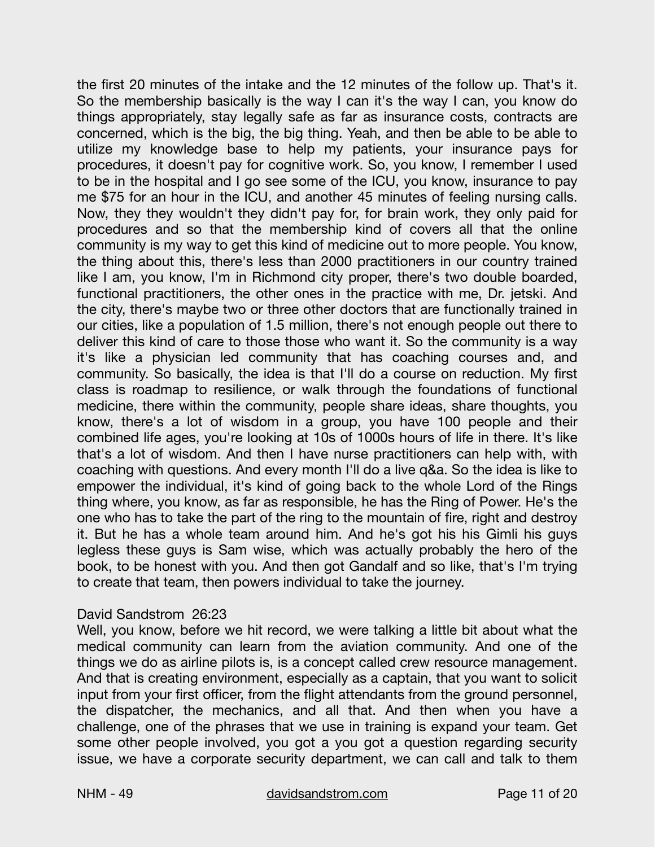the first 20 minutes of the intake and the 12 minutes of the follow up. That's it. So the membership basically is the way I can it's the way I can, you know do things appropriately, stay legally safe as far as insurance costs, contracts are concerned, which is the big, the big thing. Yeah, and then be able to be able to utilize my knowledge base to help my patients, your insurance pays for procedures, it doesn't pay for cognitive work. So, you know, I remember I used to be in the hospital and I go see some of the ICU, you know, insurance to pay me \$75 for an hour in the ICU, and another 45 minutes of feeling nursing calls. Now, they they wouldn't they didn't pay for, for brain work, they only paid for procedures and so that the membership kind of covers all that the online community is my way to get this kind of medicine out to more people. You know, the thing about this, there's less than 2000 practitioners in our country trained like I am, you know, I'm in Richmond city proper, there's two double boarded, functional practitioners, the other ones in the practice with me, Dr. jetski. And the city, there's maybe two or three other doctors that are functionally trained in our cities, like a population of 1.5 million, there's not enough people out there to deliver this kind of care to those those who want it. So the community is a way it's like a physician led community that has coaching courses and, and community. So basically, the idea is that I'll do a course on reduction. My first class is roadmap to resilience, or walk through the foundations of functional medicine, there within the community, people share ideas, share thoughts, you know, there's a lot of wisdom in a group, you have 100 people and their combined life ages, you're looking at 10s of 1000s hours of life in there. It's like that's a lot of wisdom. And then I have nurse practitioners can help with, with coaching with questions. And every month I'll do a live q&a. So the idea is like to empower the individual, it's kind of going back to the whole Lord of the Rings thing where, you know, as far as responsible, he has the Ring of Power. He's the one who has to take the part of the ring to the mountain of fire, right and destroy it. But he has a whole team around him. And he's got his his Gimli his guys legless these guys is Sam wise, which was actually probably the hero of the book, to be honest with you. And then got Gandalf and so like, that's I'm trying to create that team, then powers individual to take the journey.

# David Sandstrom 26:23

Well, you know, before we hit record, we were talking a little bit about what the medical community can learn from the aviation community. And one of the things we do as airline pilots is, is a concept called crew resource management. And that is creating environment, especially as a captain, that you want to solicit input from your first officer, from the flight attendants from the ground personnel, the dispatcher, the mechanics, and all that. And then when you have a challenge, one of the phrases that we use in training is expand your team. Get some other people involved, you got a you got a question regarding security issue, we have a corporate security department, we can call and talk to them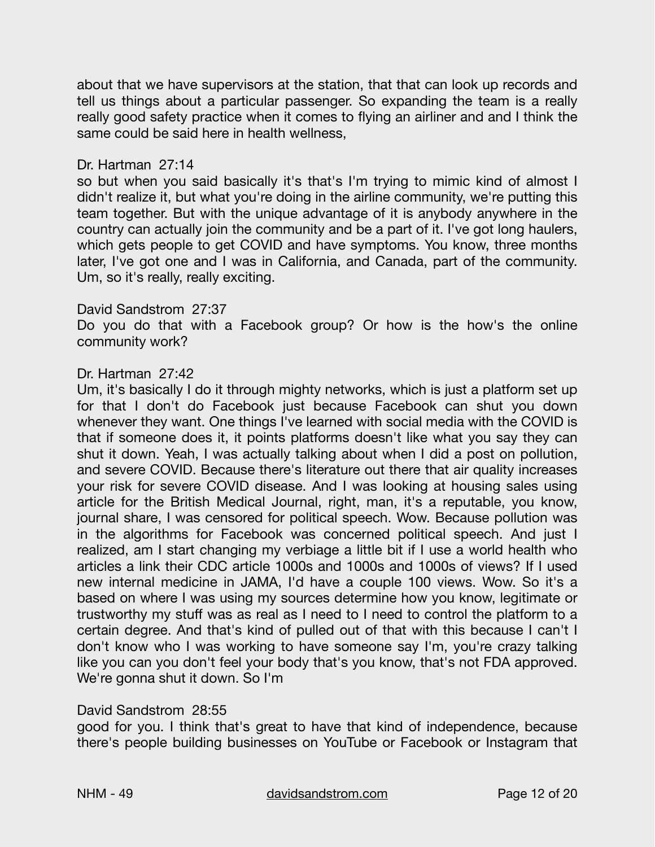about that we have supervisors at the station, that that can look up records and tell us things about a particular passenger. So expanding the team is a really really good safety practice when it comes to flying an airliner and and I think the same could be said here in health wellness,

# Dr. Hartman 27:14

so but when you said basically it's that's I'm trying to mimic kind of almost I didn't realize it, but what you're doing in the airline community, we're putting this team together. But with the unique advantage of it is anybody anywhere in the country can actually join the community and be a part of it. I've got long haulers, which gets people to get COVID and have symptoms. You know, three months later, I've got one and I was in California, and Canada, part of the community. Um, so it's really, really exciting.

# David Sandstrom 27:37

Do you do that with a Facebook group? Or how is the how's the online community work?

# Dr. Hartman 27:42

Um, it's basically I do it through mighty networks, which is just a platform set up for that I don't do Facebook just because Facebook can shut you down whenever they want. One things I've learned with social media with the COVID is that if someone does it, it points platforms doesn't like what you say they can shut it down. Yeah, I was actually talking about when I did a post on pollution, and severe COVID. Because there's literature out there that air quality increases your risk for severe COVID disease. And I was looking at housing sales using article for the British Medical Journal, right, man, it's a reputable, you know, journal share, I was censored for political speech. Wow. Because pollution was in the algorithms for Facebook was concerned political speech. And just I realized, am I start changing my verbiage a little bit if I use a world health who articles a link their CDC article 1000s and 1000s and 1000s of views? If I used new internal medicine in JAMA, I'd have a couple 100 views. Wow. So it's a based on where I was using my sources determine how you know, legitimate or trustworthy my stuff was as real as I need to I need to control the platform to a certain degree. And that's kind of pulled out of that with this because I can't I don't know who I was working to have someone say I'm, you're crazy talking like you can you don't feel your body that's you know, that's not FDA approved. We're gonna shut it down. So I'm

# David Sandstrom 28:55

good for you. I think that's great to have that kind of independence, because there's people building businesses on YouTube or Facebook or Instagram that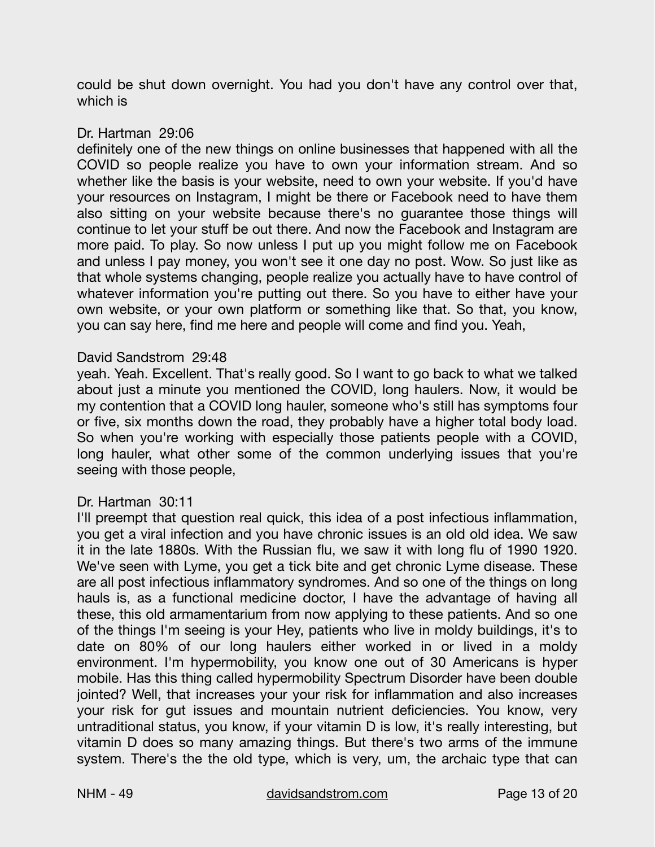could be shut down overnight. You had you don't have any control over that, which is

# Dr. Hartman 29:06

definitely one of the new things on online businesses that happened with all the COVID so people realize you have to own your information stream. And so whether like the basis is your website, need to own your website. If you'd have your resources on Instagram, I might be there or Facebook need to have them also sitting on your website because there's no guarantee those things will continue to let your stuff be out there. And now the Facebook and Instagram are more paid. To play. So now unless I put up you might follow me on Facebook and unless I pay money, you won't see it one day no post. Wow. So just like as that whole systems changing, people realize you actually have to have control of whatever information you're putting out there. So you have to either have your own website, or your own platform or something like that. So that, you know, you can say here, find me here and people will come and find you. Yeah,

# David Sandstrom 29:48

yeah. Yeah. Excellent. That's really good. So I want to go back to what we talked about just a minute you mentioned the COVID, long haulers. Now, it would be my contention that a COVID long hauler, someone who's still has symptoms four or five, six months down the road, they probably have a higher total body load. So when you're working with especially those patients people with a COVID, long hauler, what other some of the common underlying issues that you're seeing with those people,

# Dr. Hartman 30:11

I'll preempt that question real quick, this idea of a post infectious inflammation, you get a viral infection and you have chronic issues is an old old idea. We saw it in the late 1880s. With the Russian flu, we saw it with long flu of 1990 1920. We've seen with Lyme, you get a tick bite and get chronic Lyme disease. These are all post infectious inflammatory syndromes. And so one of the things on long hauls is, as a functional medicine doctor, I have the advantage of having all these, this old armamentarium from now applying to these patients. And so one of the things I'm seeing is your Hey, patients who live in moldy buildings, it's to date on 80% of our long haulers either worked in or lived in a moldy environment. I'm hypermobility, you know one out of 30 Americans is hyper mobile. Has this thing called hypermobility Spectrum Disorder have been double jointed? Well, that increases your your risk for inflammation and also increases your risk for gut issues and mountain nutrient deficiencies. You know, very untraditional status, you know, if your vitamin D is low, it's really interesting, but vitamin D does so many amazing things. But there's two arms of the immune system. There's the the old type, which is very, um, the archaic type that can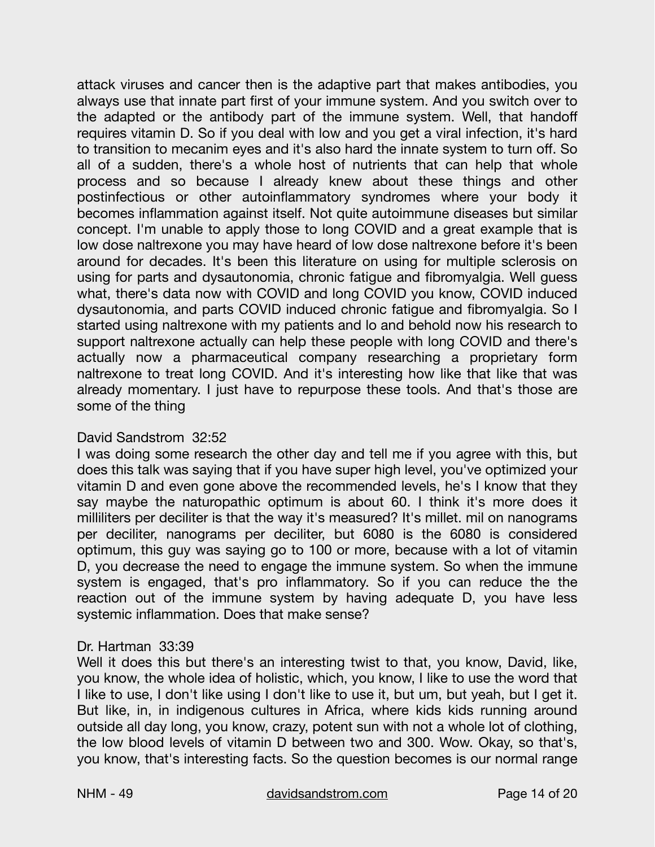attack viruses and cancer then is the adaptive part that makes antibodies, you always use that innate part first of your immune system. And you switch over to the adapted or the antibody part of the immune system. Well, that handoff requires vitamin D. So if you deal with low and you get a viral infection, it's hard to transition to mecanim eyes and it's also hard the innate system to turn off. So all of a sudden, there's a whole host of nutrients that can help that whole process and so because I already knew about these things and other postinfectious or other autoinflammatory syndromes where your body it becomes inflammation against itself. Not quite autoimmune diseases but similar concept. I'm unable to apply those to long COVID and a great example that is low dose naltrexone you may have heard of low dose naltrexone before it's been around for decades. It's been this literature on using for multiple sclerosis on using for parts and dysautonomia, chronic fatigue and fibromyalgia. Well guess what, there's data now with COVID and long COVID you know, COVID induced dysautonomia, and parts COVID induced chronic fatigue and fibromyalgia. So I started using naltrexone with my patients and lo and behold now his research to support naltrexone actually can help these people with long COVID and there's actually now a pharmaceutical company researching a proprietary form naltrexone to treat long COVID. And it's interesting how like that like that was already momentary. I just have to repurpose these tools. And that's those are some of the thing

# David Sandstrom 32:52

I was doing some research the other day and tell me if you agree with this, but does this talk was saying that if you have super high level, you've optimized your vitamin D and even gone above the recommended levels, he's I know that they say maybe the naturopathic optimum is about 60. I think it's more does it milliliters per deciliter is that the way it's measured? It's millet. mil on nanograms per deciliter, nanograms per deciliter, but 6080 is the 6080 is considered optimum, this guy was saying go to 100 or more, because with a lot of vitamin D, you decrease the need to engage the immune system. So when the immune system is engaged, that's pro inflammatory. So if you can reduce the the reaction out of the immune system by having adequate D, you have less systemic inflammation. Does that make sense?

# Dr. Hartman 33:39

Well it does this but there's an interesting twist to that, you know, David, like, you know, the whole idea of holistic, which, you know, I like to use the word that I like to use, I don't like using I don't like to use it, but um, but yeah, but I get it. But like, in, in indigenous cultures in Africa, where kids kids running around outside all day long, you know, crazy, potent sun with not a whole lot of clothing, the low blood levels of vitamin D between two and 300. Wow. Okay, so that's, you know, that's interesting facts. So the question becomes is our normal range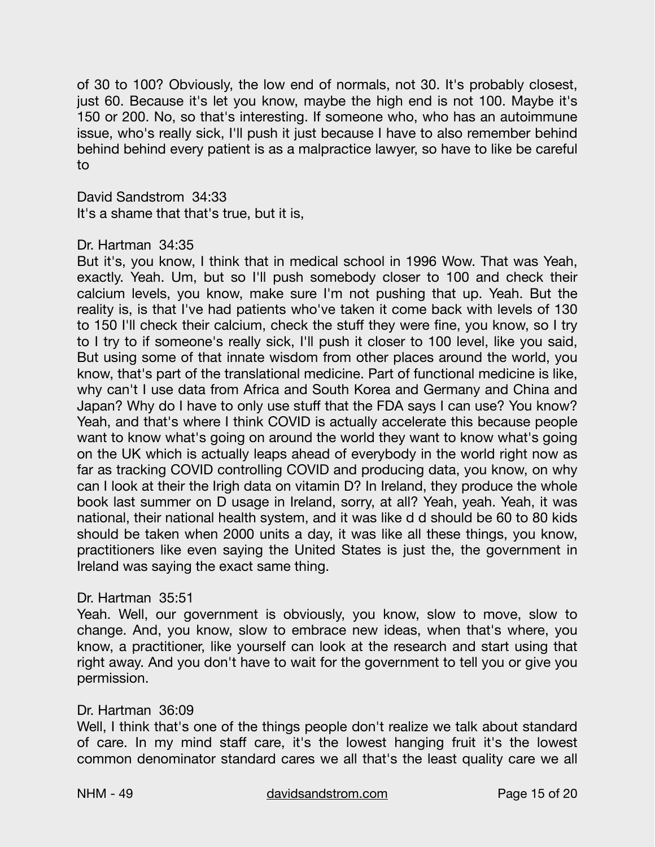of 30 to 100? Obviously, the low end of normals, not 30. It's probably closest, just 60. Because it's let you know, maybe the high end is not 100. Maybe it's 150 or 200. No, so that's interesting. If someone who, who has an autoimmune issue, who's really sick, I'll push it just because I have to also remember behind behind behind every patient is as a malpractice lawyer, so have to like be careful to

David Sandstrom 34:33 It's a shame that that's true, but it is,

# Dr. Hartman 34:35

But it's, you know, I think that in medical school in 1996 Wow. That was Yeah, exactly. Yeah. Um, but so I'll push somebody closer to 100 and check their calcium levels, you know, make sure I'm not pushing that up. Yeah. But the reality is, is that I've had patients who've taken it come back with levels of 130 to 150 I'll check their calcium, check the stuff they were fine, you know, so I try to I try to if someone's really sick, I'll push it closer to 100 level, like you said, But using some of that innate wisdom from other places around the world, you know, that's part of the translational medicine. Part of functional medicine is like, why can't I use data from Africa and South Korea and Germany and China and Japan? Why do I have to only use stuff that the FDA says I can use? You know? Yeah, and that's where I think COVID is actually accelerate this because people want to know what's going on around the world they want to know what's going on the UK which is actually leaps ahead of everybody in the world right now as far as tracking COVID controlling COVID and producing data, you know, on why can I look at their the Irigh data on vitamin D? In Ireland, they produce the whole book last summer on D usage in Ireland, sorry, at all? Yeah, yeah. Yeah, it was national, their national health system, and it was like d d should be 60 to 80 kids should be taken when 2000 units a day, it was like all these things, you know, practitioners like even saying the United States is just the, the government in Ireland was saying the exact same thing.

#### Dr. Hartman 35:51

Yeah. Well, our government is obviously, you know, slow to move, slow to change. And, you know, slow to embrace new ideas, when that's where, you know, a practitioner, like yourself can look at the research and start using that right away. And you don't have to wait for the government to tell you or give you permission.

# Dr. Hartman 36:09

Well, I think that's one of the things people don't realize we talk about standard of care. In my mind staff care, it's the lowest hanging fruit it's the lowest common denominator standard cares we all that's the least quality care we all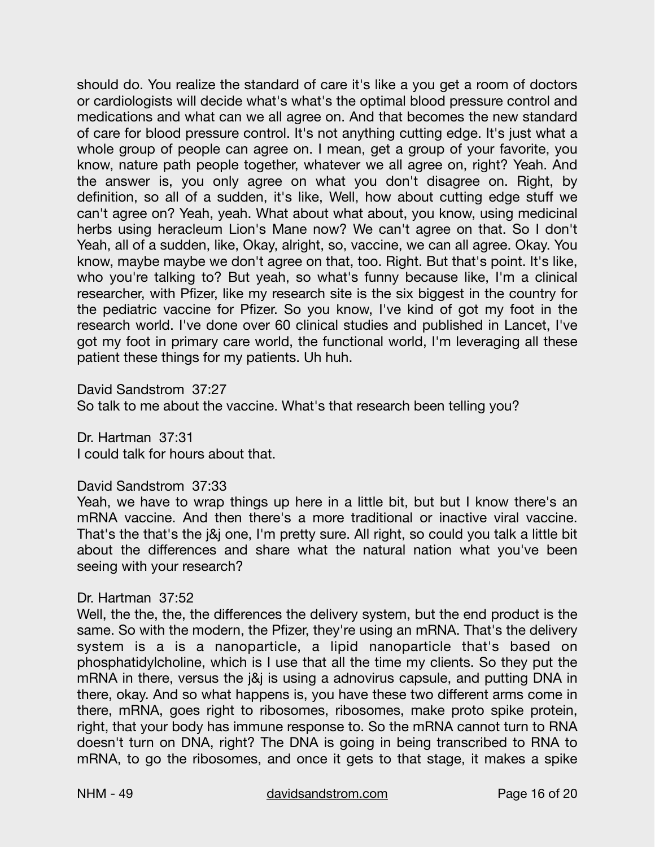should do. You realize the standard of care it's like a you get a room of doctors or cardiologists will decide what's what's the optimal blood pressure control and medications and what can we all agree on. And that becomes the new standard of care for blood pressure control. It's not anything cutting edge. It's just what a whole group of people can agree on. I mean, get a group of your favorite, you know, nature path people together, whatever we all agree on, right? Yeah. And the answer is, you only agree on what you don't disagree on. Right, by definition, so all of a sudden, it's like, Well, how about cutting edge stuff we can't agree on? Yeah, yeah. What about what about, you know, using medicinal herbs using heracleum Lion's Mane now? We can't agree on that. So I don't Yeah, all of a sudden, like, Okay, alright, so, vaccine, we can all agree. Okay. You know, maybe maybe we don't agree on that, too. Right. But that's point. It's like, who you're talking to? But yeah, so what's funny because like, I'm a clinical researcher, with Pfizer, like my research site is the six biggest in the country for the pediatric vaccine for Pfizer. So you know, I've kind of got my foot in the research world. I've done over 60 clinical studies and published in Lancet, I've got my foot in primary care world, the functional world, I'm leveraging all these patient these things for my patients. Uh huh.

David Sandstrom 37:27

So talk to me about the vaccine. What's that research been telling you?

Dr. Hartman 37:31 I could talk for hours about that.

# David Sandstrom 37:33

Yeah, we have to wrap things up here in a little bit, but but I know there's an mRNA vaccine. And then there's a more traditional or inactive viral vaccine. That's the that's the j&j one, I'm pretty sure. All right, so could you talk a little bit about the differences and share what the natural nation what you've been seeing with your research?

# Dr. Hartman 37:52

Well, the the, the, the differences the delivery system, but the end product is the same. So with the modern, the Pfizer, they're using an mRNA. That's the delivery system is a is a nanoparticle, a lipid nanoparticle that's based on phosphatidylcholine, which is I use that all the time my clients. So they put the mRNA in there, versus the j&j is using a adnovirus capsule, and putting DNA in there, okay. And so what happens is, you have these two different arms come in there, mRNA, goes right to ribosomes, ribosomes, make proto spike protein, right, that your body has immune response to. So the mRNA cannot turn to RNA doesn't turn on DNA, right? The DNA is going in being transcribed to RNA to mRNA, to go the ribosomes, and once it gets to that stage, it makes a spike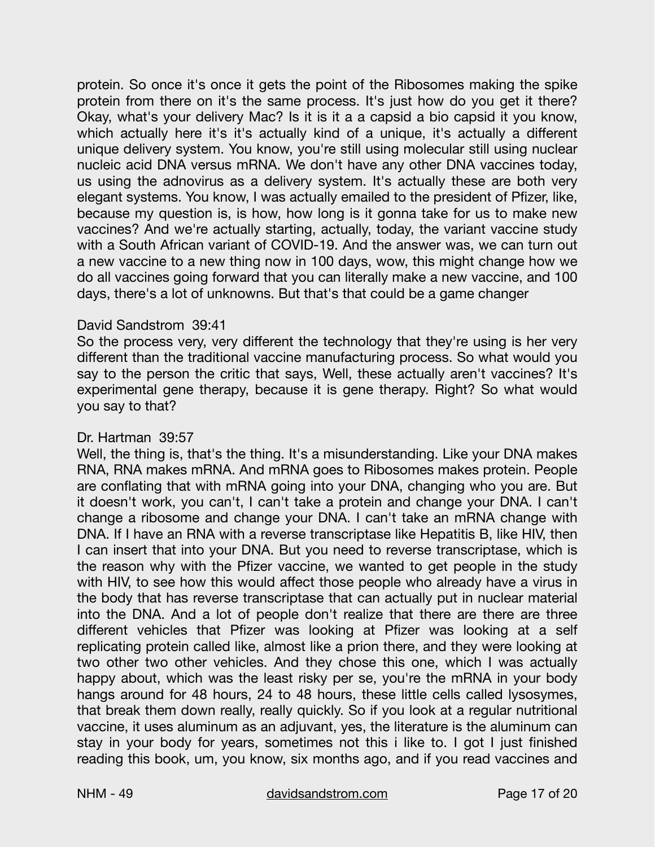protein. So once it's once it gets the point of the Ribosomes making the spike protein from there on it's the same process. It's just how do you get it there? Okay, what's your delivery Mac? Is it is it a a capsid a bio capsid it you know, which actually here it's it's actually kind of a unique, it's actually a different unique delivery system. You know, you're still using molecular still using nuclear nucleic acid DNA versus mRNA. We don't have any other DNA vaccines today, us using the adnovirus as a delivery system. It's actually these are both very elegant systems. You know, I was actually emailed to the president of Pfizer, like, because my question is, is how, how long is it gonna take for us to make new vaccines? And we're actually starting, actually, today, the variant vaccine study with a South African variant of COVID-19. And the answer was, we can turn out a new vaccine to a new thing now in 100 days, wow, this might change how we do all vaccines going forward that you can literally make a new vaccine, and 100 days, there's a lot of unknowns. But that's that could be a game changer

#### David Sandstrom 39:41

So the process very, very different the technology that they're using is her very different than the traditional vaccine manufacturing process. So what would you say to the person the critic that says, Well, these actually aren't vaccines? It's experimental gene therapy, because it is gene therapy. Right? So what would you say to that?

#### Dr. Hartman 39:57

Well, the thing is, that's the thing. It's a misunderstanding. Like your DNA makes RNA, RNA makes mRNA. And mRNA goes to Ribosomes makes protein. People are conflating that with mRNA going into your DNA, changing who you are. But it doesn't work, you can't, I can't take a protein and change your DNA. I can't change a ribosome and change your DNA. I can't take an mRNA change with DNA. If I have an RNA with a reverse transcriptase like Hepatitis B, like HIV, then I can insert that into your DNA. But you need to reverse transcriptase, which is the reason why with the Pfizer vaccine, we wanted to get people in the study with HIV, to see how this would affect those people who already have a virus in the body that has reverse transcriptase that can actually put in nuclear material into the DNA. And a lot of people don't realize that there are there are three different vehicles that Pfizer was looking at Pfizer was looking at a self replicating protein called like, almost like a prion there, and they were looking at two other two other vehicles. And they chose this one, which I was actually happy about, which was the least risky per se, you're the mRNA in your body hangs around for 48 hours, 24 to 48 hours, these little cells called lysosymes, that break them down really, really quickly. So if you look at a regular nutritional vaccine, it uses aluminum as an adjuvant, yes, the literature is the aluminum can stay in your body for years, sometimes not this i like to. I got I just finished reading this book, um, you know, six months ago, and if you read vaccines and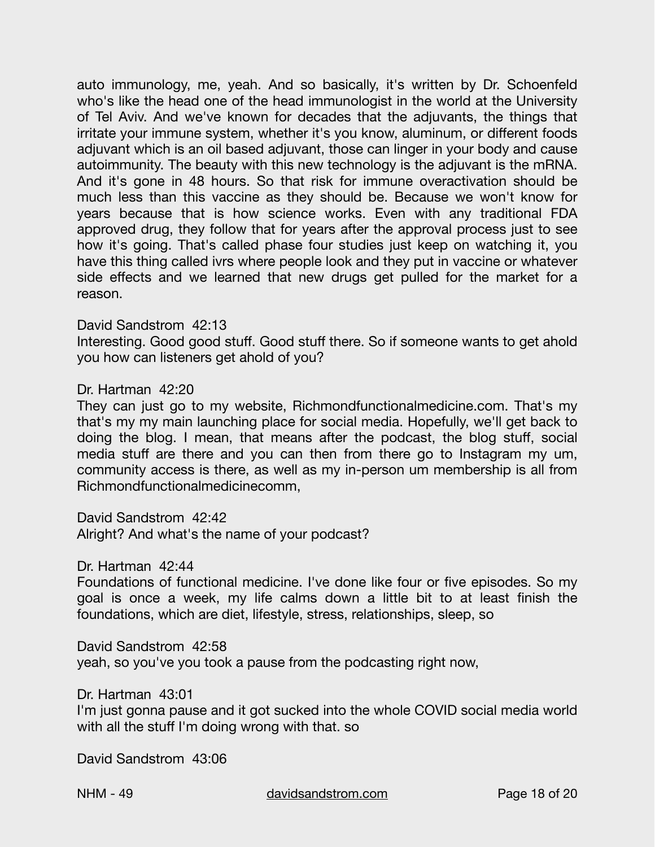auto immunology, me, yeah. And so basically, it's written by Dr. Schoenfeld who's like the head one of the head immunologist in the world at the University of Tel Aviv. And we've known for decades that the adjuvants, the things that irritate your immune system, whether it's you know, aluminum, or different foods adjuvant which is an oil based adjuvant, those can linger in your body and cause autoimmunity. The beauty with this new technology is the adjuvant is the mRNA. And it's gone in 48 hours. So that risk for immune overactivation should be much less than this vaccine as they should be. Because we won't know for years because that is how science works. Even with any traditional FDA approved drug, they follow that for years after the approval process just to see how it's going. That's called phase four studies just keep on watching it, you have this thing called ivrs where people look and they put in vaccine or whatever side effects and we learned that new drugs get pulled for the market for a reason.

#### David Sandstrom 42:13

Interesting. Good good stuff. Good stuff there. So if someone wants to get ahold you how can listeners get ahold of you?

#### Dr. Hartman 42:20

They can just go to my website, Richmondfunctionalmedicine.com. That's my that's my my main launching place for social media. Hopefully, we'll get back to doing the blog. I mean, that means after the podcast, the blog stuff, social media stuff are there and you can then from there go to Instagram my um, community access is there, as well as my in-person um membership is all from Richmondfunctionalmedicinecomm,

David Sandstrom 42:42

Alright? And what's the name of your podcast?

Dr. Hartman 42:44

Foundations of functional medicine. I've done like four or five episodes. So my goal is once a week, my life calms down a little bit to at least finish the foundations, which are diet, lifestyle, stress, relationships, sleep, so

David Sandstrom 42:58 yeah, so you've you took a pause from the podcasting right now,

Dr. Hartman 43:01

I'm just gonna pause and it got sucked into the whole COVID social media world with all the stuff I'm doing wrong with that. so

David Sandstrom 43:06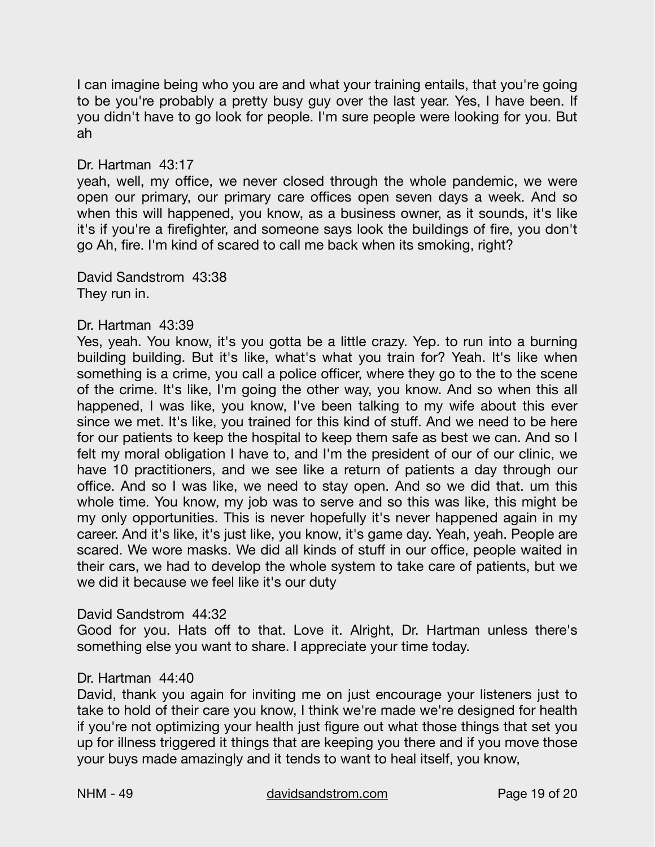I can imagine being who you are and what your training entails, that you're going to be you're probably a pretty busy guy over the last year. Yes, I have been. If you didn't have to go look for people. I'm sure people were looking for you. But ah

# Dr. Hartman 43:17

yeah, well, my office, we never closed through the whole pandemic, we were open our primary, our primary care offices open seven days a week. And so when this will happened, you know, as a business owner, as it sounds, it's like it's if you're a firefighter, and someone says look the buildings of fire, you don't go Ah, fire. I'm kind of scared to call me back when its smoking, right?

David Sandstrom 43:38 They run in.

#### Dr. Hartman 43:39

Yes, yeah. You know, it's you gotta be a little crazy. Yep. to run into a burning building building. But it's like, what's what you train for? Yeah. It's like when something is a crime, you call a police officer, where they go to the to the scene of the crime. It's like, I'm going the other way, you know. And so when this all happened, I was like, you know, I've been talking to my wife about this ever since we met. It's like, you trained for this kind of stuff. And we need to be here for our patients to keep the hospital to keep them safe as best we can. And so I felt my moral obligation I have to, and I'm the president of our of our clinic, we have 10 practitioners, and we see like a return of patients a day through our office. And so I was like, we need to stay open. And so we did that. um this whole time. You know, my job was to serve and so this was like, this might be my only opportunities. This is never hopefully it's never happened again in my career. And it's like, it's just like, you know, it's game day. Yeah, yeah. People are scared. We wore masks. We did all kinds of stuff in our office, people waited in their cars, we had to develop the whole system to take care of patients, but we we did it because we feel like it's our duty

#### David Sandstrom 44:32

Good for you. Hats off to that. Love it. Alright, Dr. Hartman unless there's something else you want to share. I appreciate your time today.

# Dr. Hartman 44:40

David, thank you again for inviting me on just encourage your listeners just to take to hold of their care you know, I think we're made we're designed for health if you're not optimizing your health just figure out what those things that set you up for illness triggered it things that are keeping you there and if you move those your buys made amazingly and it tends to want to heal itself, you know,